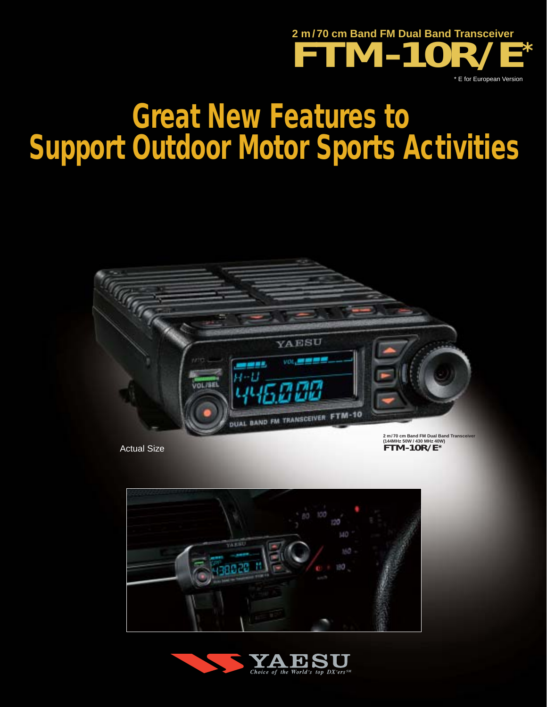

# **Great New Features to Support Outdoor Motor Sports Activities**



Actual Size

**(144MHz 50W / 430 MHz 40W) FTM-10R/E\***



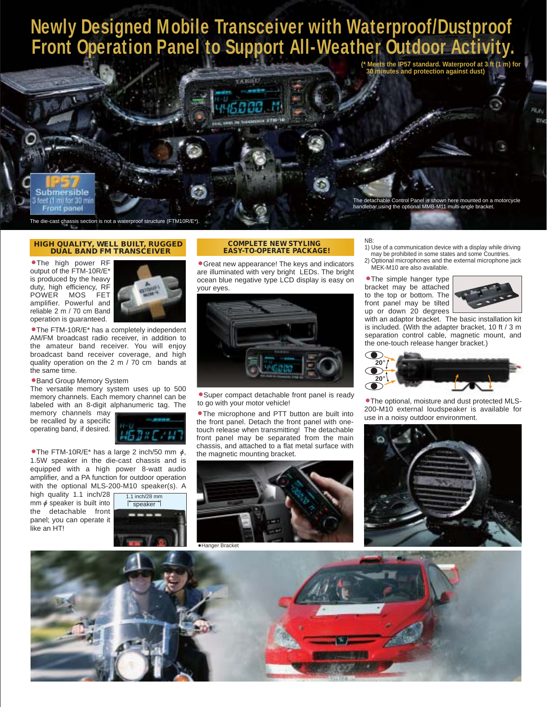# **Newly Designed Mobile Transceiver with Waterproof/Dustproof Front Operation Panel to Support All-Weather Outdoor Activity.**



The die-cast chassis section is not a waterproof structure (FTM10R/E\*).

#### **HIGH QUALITY, WELL BUILT, RUGGED DUAL BAND FM TRANSCEIVER**

**•**The high power RF output of the FTM-10R/E\* is produced by the heavy duty, high efficiency, RF<br>POWER MOS FET POWER MOS amplifier. Powerful and reliable 2 m / 70 cm Band operation is guaranteed.



**•**The FTM-10R/E\* has a completely independent AM/FM broadcast radio receiver, in addition to the amateur band receiver. You will enjoy broadcast band receiver coverage, and high quality operation on the 2 m / 70 cm bands at the same time.

# **•**Band Group Memory System

The versatile memory system uses up to 500 memory channels. Each memory channel can be labeled with an 8-digit alphanumeric tag. The

memory channels may be recalled by a specific operating band, if desired.



• The FTM-10R/E\* has a large 2 inch/50 mm  $\phi$ , 1.5W speaker in the die-cast chassis and is equipped with a high power 8-watt audio amplifier, and a PA function for outdoor operation with the optional MLS-200-M10 speaker(s). A

high quality 1.1 inch/28 mm  $\phi$  speaker is built into the detachable front panel; you can operate it like an HT!



# **•**Great new appearance! The keys and indicators **EASY-TO-OPERATE PACKAGE!**

**COMPLETE NEW STYLING** 

are illuminated with very bright LEDs. The bright ocean blue negative type LCD display is easy on your eyes.



**•**Super compact detachable front panel is ready to go with your motor vehicle!

• The microphone and PTT button are built into **•** 200<sup>-M110</sup> external loudspeaker is **•** use in a noisy outdoor environment. the front panel. Detach the front panel with onetouch release when transmitting! The detachable front panel may be separated from the main chassis, and attached to a flat metal surface with the magnetic mounting bracket.



# NB:

- 1) Use of a communication device with a display while driving may be prohibited in some states and some Countries.
- 2) Optional microphones and the external microphone jack MEK-M10 are also available.
- **•**The simple hanger type bracket may be attached to the top or bottom. The front panel may be tilted up or down 20 degrees



with an adaptor bracket. The basic installation kit is included. (With the adapter bracket, 10 ft / 3 m separation control cable, magnetic mount, and the one-touch release hanger bracket.)



**•**The optional, moisture and dust protected MLS-<br>200-M10 external loudspeaker is available for



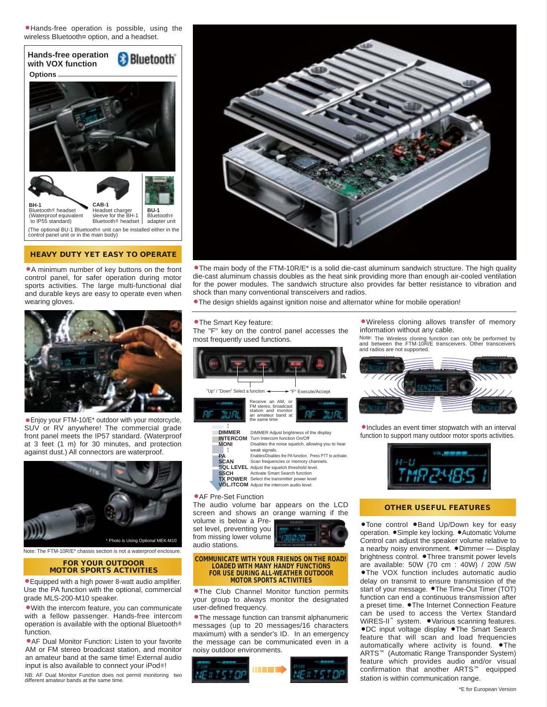**•**Hands-free operation is possible, using the wireless Bluetooth¤ option, and a headset.



# **HEAVY DUTY YET EASY TO OPERATE**

**•**A minimum number of key buttons on the front control panel, for safer operation during motor sports activities. The large multi-functional dial and durable keys are easy to operate even when wearing gloves.



**•**Enjoy your FTM-10/E\* outdoor with your motorcycle, SUV or RV anywhere! The commercial grade front panel meets the IP57 standard. (Waterproof at 3 feet (1 m) for 30 minutes, and protection against dust.) All connectors are waterproof.



Note: The FTM-10R/E\* chassis section is not a waterproof enclosure.

## **FOR YOUR OUTDOOR MOTOR SPORTS ACTIVITIES**

**•**Equipped with a high power 8-watt audio amplifier. Use the PA function with the optional, commercial grade MLS-200-M10 speaker.

**•**With the intercom feature, you can communicate with a fellow passenger. Hands-free intercom operation is available with the optional Bluetooth® function.

**•**AF Dual Monitor Function: Listen to your favorite AM or FM stereo broadcast station, and monitor an amateur band at the same time! External audio input is also available to connect your iPod®!

NB: AF Dual Monitor Function does not permit monitoring two different amateur bands at the same time.



**•**The main body of the FTM-10R/E\* is a solid die-cast aluminum sandwich structure. The high quality die-cast aluminum chassis doubles as the heat sink providing more than enough air-cooled ventilation for the power modules. The sandwich structure also provides far better resistance to vibration and shock than many conventional transceivers and radios.

**•**The design shields against ignition noise and alternator whine for mobile operation!

### **•**The Smart Key feature:

The "F" key on the control panel accesses the most frequently used functions.



**DIMMER INTERCOM MONI PA SCAN SQL LEVEL** Adjust the squelch threshold level. **SSCH TX POWER** Activate Smart Search function Select the transmitter power level Disables the noise squelch, allowing you to hear weak signals. Enables/Disables the PA function. Press PTT to activate. Scan frequencies or memory channels.

**VOL.ITCOM** Adjust the intercom audio level.

### **•**AF Pre-Set Function

The audio volume bar appears on the LCD screen and shows an orange warning if the volume is below a Pre-

set level, preventing you from missing lower volume audio stations.



#### **COMMUNICATE WITH YOUR FRIENDS ON THE ROAD! LOADED WITH MANY HANDY FUNCTIONS FOR USE DURING ALL-WEATHER OUTDOOR MOTOR SPORTS ACTIVITIES**

**•**The Club Channel Monitor function permits your group to always monitor the designated user-defined frequency.

**•**The message function can transmit alphanumeric messages (up to 20 messages/16 characters maximum) with a sender's ID. In an emergency the message can be communicated even in a noisy outdoor environments.



**•**Wireless cloning allows transfer of memory information without any cable.

Note: The Wireless cloning function can only be performed by and between the FTM-10R/E transceivers. Other transceivers and radios are not supported.



**•**Includes an event timer stopwatch with an interval function to support many outdoor motor sports activities.



# **OTHER USEFUL FEATURES**

**•**Tone control **•**Band Up/Down key for easy operation. **•**Simple key locking. **•**Automatic Volume Control can adjust the speaker volume relative to a nearby noisy environment. **•**Dimmer — Display brightness control. **•**Three transmit power levels are available: 50W (70 cm : 40W) / 20W /5W **•**The VOX function includes automatic audio delay on transmit to ensure transmission of the start of your message. **•**The Time-Out Timer (TOT) function can end a continuous transmission after a preset time. **•**The Internet Connection Feature can be used to access the Vertex Standard WiRES-II™ system. **•**Various scanning features. **•**DC input voltage display **•**The Smart Search feature that will scan and load frequencies automatically where activity is found. **•**The ARTS™ (Automatic Range Transponder System) feature which provides audio and/or visual confirmation that another ARTS™ equipped station is within communication range.